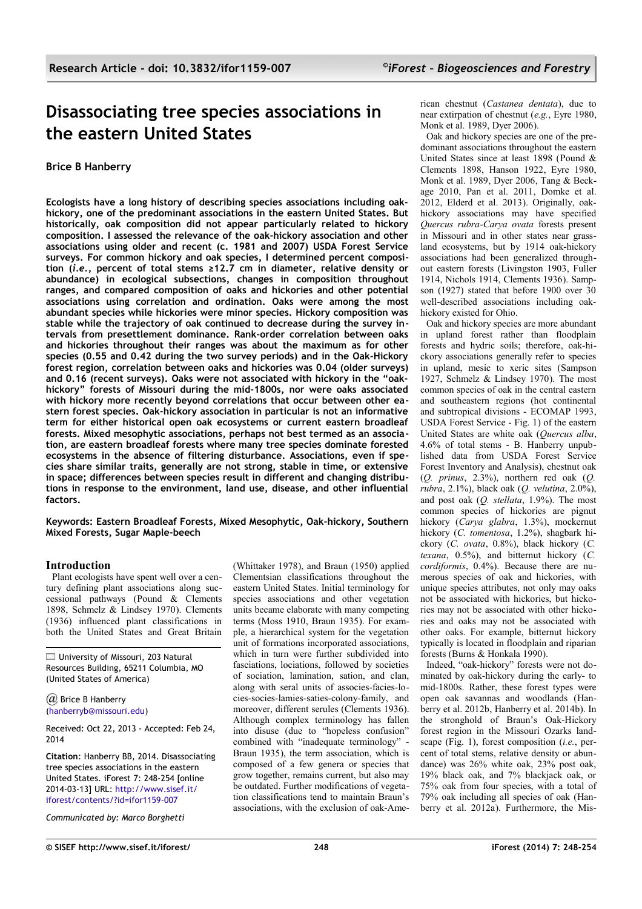# **Disassociating tree species associations in the eastern United States**

# **Brice B Hanberry**

**Ecologists have a long history of describing species associations including oakhickory, one of the predominant associations in the eastern United States. But historically, oak composition did not appear particularly related to hickory composition. I assessed the relevance of the oak-hickory association and other associations using older and recent (c. 1981 and 2007) USDA Forest Service surveys. For common hickory and oak species, I determined percent composition (***i.e.***, percent of total stems ≥12.7 cm in diameter, relative density or abundance) in ecological subsections, changes in composition throughout ranges, and compared composition of oaks and hickories and other potential associations using correlation and ordination. Oaks were among the most abundant species while hickories were minor species. Hickory composition was stable while the trajectory of oak continued to decrease during the survey intervals from presettlement dominance. Rank-order correlation between oaks and hickories throughout their ranges was about the maximum as for other species (0.55 and 0.42 during the two survey periods) and in the Oak-Hickory forest region, correlation between oaks and hickories was 0.04 (older surveys) and 0.16 (recent surveys). Oaks were not associated with hickory in the "oakhickory" forests of Missouri during the mid-1800s, nor were oaks associated with hickory more recently beyond correlations that occur between other eastern forest species. Oak-hickory association in particular is not an informative term for either historical open oak ecosystems or current eastern broadleaf forests. Mixed mesophytic associations, perhaps not best termed as an association, are eastern broadleaf forests where many tree species dominate forested ecosystems in the absence of filtering disturbance. Associations, even if species share similar traits, generally are not strong, stable in time, or extensive in space; differences between species result in different and changing distributions in response to the environment, land use, disease, and other influential factors.**

**Keywords: Eastern Broadleaf Forests, Mixed Mesophytic, Oak-hickory, Southern Mixed Forests, Sugar Maple-beech**

# **Introduction**

Plant ecologists have spent well over a century defining plant associations along successional pathways (Pound & Clements 1898, Schmelz & Lindsey 1970). Clements (1936) influenced plant classifications in both the United States and Great Britain

University of Missouri, 203 Natural Resources Building, 65211 Columbia, MO (United States of America)

*(a)* Brice B Hanberry [\(hanberryb@missouri.edu\)](mailto:)

Received: Oct 22, 2013 - Accepted: Feb 24, 2014

**Citation**: Hanberry BB, 2014. Disassociating tree species associations in the eastern United States. iForest 7: 248-254 [online 2014-03-13] URL: [http://www.sisef.it/](http://www.sisef.it/iforest/contents/?id=ifor1159-007) [iforest/contents/?id=ifor1159-007](http://www.sisef.it/iforest/contents/?id=ifor1159-007)

*Communicated by: Marco Borghetti*

(Whittaker 1978), and Braun (1950) applied Clementsian classifications throughout the eastern United States. Initial terminology for species associations and other vegetation units became elaborate with many competing terms (Moss 1910, Braun 1935). For example, a hierarchical system for the vegetation unit of formations incorporated associations. which in turn were further subdivided into fasciations, lociations, followed by societies of sociation, lamination, sation, and clan, along with seral units of associes-facies-locies-socies-lamies-saties-colony-family, and moreover, different serules (Clements 1936). Although complex terminology has fallen into disuse (due to "hopeless confusion" combined with "inadequate terminology" - Braun 1935), the term association, which is composed of a few genera or species that grow together, remains current, but also may be outdated. Further modifications of vegetation classifications tend to maintain Braun's associations, with the exclusion of oak-American chestnut (*Castanea dentata*), due to near extirpation of chestnut (*e.g.*, Eyre 1980, Monk et al. 1989, Dyer 2006).

Oak and hickory species are one of the predominant associations throughout the eastern United States since at least 1898 (Pound & Clements 1898, Hanson 1922, Eyre 1980, Monk et al. 1989, Dyer 2006, Tang & Beckage 2010, Pan et al. 2011, Domke et al. 2012, Elderd et al. 2013). Originally, oakhickory associations may have specified *Quercus rubra*-*Carya ovata* forests present in Missouri and in other states near grassland ecosystems, but by 1914 oak-hickory associations had been generalized throughout eastern forests (Livingston 1903, Fuller 1914, Nichols 1914, Clements 1936). Sampson (1927) stated that before 1900 over 30 well-described associations including oakhickory existed for Ohio.

Oak and hickory species are more abundant in upland forest rather than floodplain forests and hydric soils; therefore, oak-hickory associations generally refer to species in upland, mesic to xeric sites (Sampson 1927, Schmelz & Lindsey 1970). The most common species of oak in the central eastern and southeastern regions (hot continental and subtropical divisions - ECOMAP 1993, USDA Forest Service - [Fig. 1\)](#page-1-0) of the eastern United States are white oak (*Quercus alba*, 4.6% of total stems - B. Hanberry unpublished data from USDA Forest Service Forest Inventory and Analysis), chestnut oak (*Q. prinus*, 2.3%), northern red oak (*Q. rubra*, 2.1%), black oak (*Q. velutina*, 2.0%), and post oak (*Q. stellata*, 1.9%). The most common species of hickories are pignut hickory (*Carya glabra*, 1.3%), mockernut hickory (*C. tomentosa*, 1.2%), shagbark hickory (*C. ovata*, 0.8%), black hickory (*C. texana*, 0.5%), and bitternut hickory (*C. cordiformis*, 0.4%). Because there are numerous species of oak and hickories, with unique species attributes, not only may oaks not be associated with hickories, but hickories may not be associated with other hickories and oaks may not be associated with other oaks. For example, bitternut hickory typically is located in floodplain and riparian forests (Burns & Honkala 1990).

Indeed, "oak-hickory" forests were not dominated by oak-hickory during the early- to mid-1800s. Rather, these forest types were open oak savannas and woodlands (Hanberry et al. 2012b, Hanberry et al. 2014b). In the stronghold of Braun's Oak-Hickory forest region in the Missouri Ozarks landscape [\(Fig. 1\)](#page-1-0), forest composition (*i.e.*, percent of total stems, relative density or abundance) was 26% white oak, 23% post oak, 19% black oak, and 7% blackjack oak, or 75% oak from four species, with a total of 79% oak including all species of oak (Hanberry et al. 2012a). Furthermore, the Mis-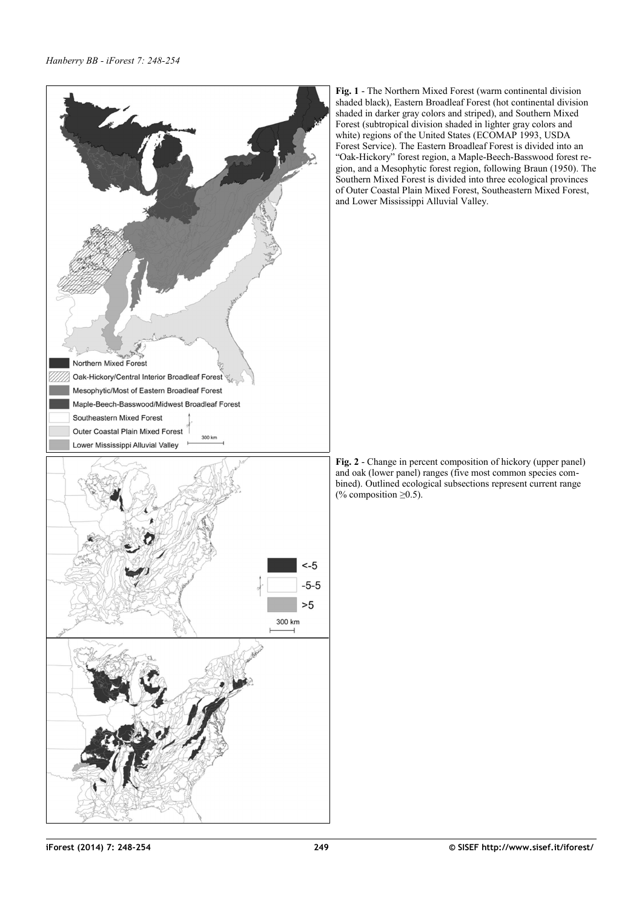

<span id="page-1-0"></span>**Fig. 1** - The Northern Mixed Forest (warm continental division shaded black), Eastern Broadleaf Forest (hot continental division shaded in darker gray colors and striped), and Southern Mixed Forest (subtropical division shaded in lighter gray colors and white) regions of the United States (ECOMAP 1993, USDA Forest Service). The Eastern Broadleaf Forest is divided into an "Oak-Hickory" forest region, a Maple-Beech-Basswood forest region, and a Mesophytic forest region, following Braun (1950). The Southern Mixed Forest is divided into three ecological provinces of Outer Coastal Plain Mixed Forest, Southeastern Mixed Forest, and Lower Mississippi Alluvial Valley.

<span id="page-1-1"></span>**Fig. 2** - Change in percent composition of hickory (upper panel) and oak (lower panel) ranges (five most common species combined). Outlined ecological subsections represent current range (% composition  $\geq 0.5$ ).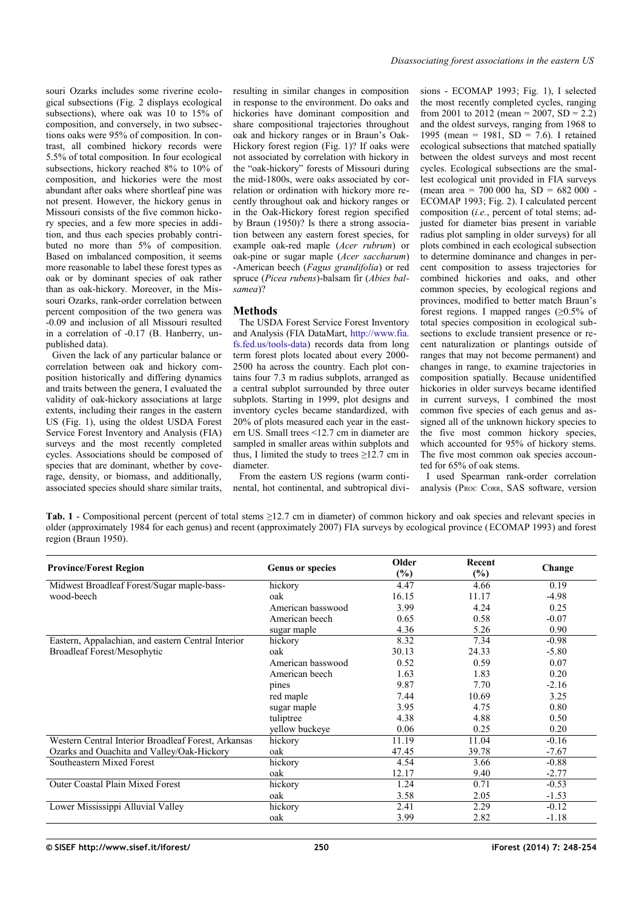souri Ozarks includes some riverine ecological subsections [\(Fig. 2](#page-1-1) displays ecological subsections), where oak was 10 to 15% of composition, and conversely, in two subsections oaks were 95% of composition. In contrast, all combined hickory records were 5.5% of total composition. In four ecological subsections, hickory reached 8% to 10% of composition, and hickories were the most abundant after oaks where shortleaf pine was not present. However, the hickory genus in Missouri consists of the five common hickory species, and a few more species in addition, and thus each species probably contributed no more than 5% of composition. Based on imbalanced composition, it seems more reasonable to label these forest types as oak or by dominant species of oak rather than as oak-hickory. Moreover, in the Missouri Ozarks, rank-order correlation between percent composition of the two genera was -0.09 and inclusion of all Missouri resulted in a correlation of -0.17 (B. Hanberry, unpublished data).

Given the lack of any particular balance or correlation between oak and hickory composition historically and differing dynamics and traits between the genera, I evaluated the validity of oak-hickory associations at large extents, including their ranges in the eastern US [\(Fig. 1\)](#page-1-0), using the oldest USDA Forest Service Forest Inventory and Analysis (FIA) surveys and the most recently completed cycles. Associations should be composed of species that are dominant, whether by coverage, density, or biomass, and additionally, associated species should share similar traits,

resulting in similar changes in composition in response to the environment. Do oaks and hickories have dominant composition and share compositional trajectories throughout oak and hickory ranges or in Braun's Oak-Hickory forest region [\(Fig. 1\)](#page-1-0)? If oaks were not associated by correlation with hickory in the "oak-hickory" forests of Missouri during the mid-1800s, were oaks associated by correlation or ordination with hickory more recently throughout oak and hickory ranges or in the Oak-Hickory forest region specified by Braun (1950)? Is there a strong association between any eastern forest species, for example oak-red maple (*Acer rubrum*) or oak-pine or sugar maple (*Acer saccharum*) -American beech (*Fagus grandifolia*) or red spruce (*Picea rubens*)-balsam fir (*Abies balsamea*)?

# **Methods**

The USDA Forest Service Forest Inventory and Analysis (FIA DataMart, [http://www.fia.](http://www.fia.fs.fed.us/tools-data) [fs.fed.us/tools-data\)](http://www.fia.fs.fed.us/tools-data) records data from long term forest plots located about every 2000- 2500 ha across the country. Each plot contains four 7.3 m radius subplots, arranged as a central subplot surrounded by three outer subplots. Starting in 1999, plot designs and inventory cycles became standardized, with 20% of plots measured each year in the eastern US. Small trees <12.7 cm in diameter are sampled in smaller areas within subplots and thus, I limited the study to trees  $\geq 12.7$  cm in diameter.

From the eastern US regions (warm continental, hot continental, and subtropical divisions - ECOMAP 1993; [Fig. 1\)](#page-1-0), I selected the most recently completed cycles, ranging from 2001 to 2012 (mean = 2007,  $SD = 2.2$ ) and the oldest surveys, ranging from 1968 to 1995 (mean = 1981,  $SD = 7.6$ ). I retained ecological subsections that matched spatially between the oldest surveys and most recent cycles. Ecological subsections are the smallest ecological unit provided in FIA surveys (mean area = 700 000 ha,  $SD = 682 000$ . ECOMAP 1993; [Fig. 2\)](#page-1-1). I calculated percent composition (*i.e.*, percent of total stems; adjusted for diameter bias present in variable radius plot sampling in older surveys) for all plots combined in each ecological subsection to determine dominance and changes in percent composition to assess trajectories for combined hickories and oaks, and other common species, by ecological regions and provinces, modified to better match Braun's forest regions. I mapped ranges  $(≥0.5%$  of total species composition in ecological subsections to exclude transient presence or recent naturalization or plantings outside of ranges that may not become permanent) and changes in range, to examine trajectories in composition spatially. Because unidentified hickories in older surveys became identified in current surveys, I combined the most common five species of each genus and assigned all of the unknown hickory species to the five most common hickory species, which accounted for 95% of hickory stems. The five most common oak species accounted for 65% of oak stems.

I used Spearman rank-order correlation analysis (PROC CORR, SAS software, version

<span id="page-2-0"></span>**Tab. 1** - Compositional percent (percent of total stems ≥12.7 cm in diameter) of common hickory and oak species and relevant species in older (approximately 1984 for each genus) and recent (approximately 2007) FIA surveys by ecological province (ECOMAP 1993) and forest region (Braun 1950).

| <b>Province/Forest Region</b>                       | <b>Genus or species</b> | Older<br>$(\%)$ | Recent<br>$(\%)$ | Change  |  |
|-----------------------------------------------------|-------------------------|-----------------|------------------|---------|--|
| Midwest Broadleaf Forest/Sugar maple-bass-          | hickory                 | 4.47            | 4.66             | 0.19    |  |
| wood-beech                                          | oak                     | 16.15           | 11.17            | $-4.98$ |  |
|                                                     | American basswood       | 3.99            | 4.24             | 0.25    |  |
|                                                     | American beech          | 0.65            | 0.58             | $-0.07$ |  |
|                                                     | sugar maple             | 4.36            | 5.26             | 0.90    |  |
| Eastern, Appalachian, and eastern Central Interior  | hickory                 | 8.32            | 7.34             | $-0.98$ |  |
| Broadleaf Forest/Mesophytic                         | oak                     | 30.13           | 24.33            | $-5.80$ |  |
|                                                     | American basswood       | 0.52            | 0.59             | 0.07    |  |
|                                                     | American beech          | 1.63            | 1.83             | 0.20    |  |
|                                                     | pines                   | 9.87            | 7.70             | $-2.16$ |  |
|                                                     | red maple               | 7.44            | 10.69            | 3.25    |  |
|                                                     | sugar maple             | 3.95            | 4.75             | 0.80    |  |
|                                                     | tuliptree               | 4.38            | 4.88             | 0.50    |  |
|                                                     | yellow buckeye          | 0.06            | 0.25             | 0.20    |  |
| Western Central Interior Broadleaf Forest, Arkansas | hickory                 | 11.19           | 11.04            | $-0.16$ |  |
| Ozarks and Ouachita and Valley/Oak-Hickory          | oak                     | 47.45           | 39.78            | $-7.67$ |  |
| Southeastern Mixed Forest                           | hickory                 | 4.54            | 3.66             | $-0.88$ |  |
|                                                     | oak                     | 12.17           | 9.40             | $-2.77$ |  |
| <b>Outer Coastal Plain Mixed Forest</b>             | hickory                 | 1.24            | 0.71             | $-0.53$ |  |
|                                                     | oak                     | 3.58            | 2.05             | $-1.53$ |  |
| Lower Mississippi Alluvial Valley                   | hickory                 | 2.41            | 2.29             | $-0.12$ |  |
|                                                     | oak                     | 3.99            | 2.82             | $-1.18$ |  |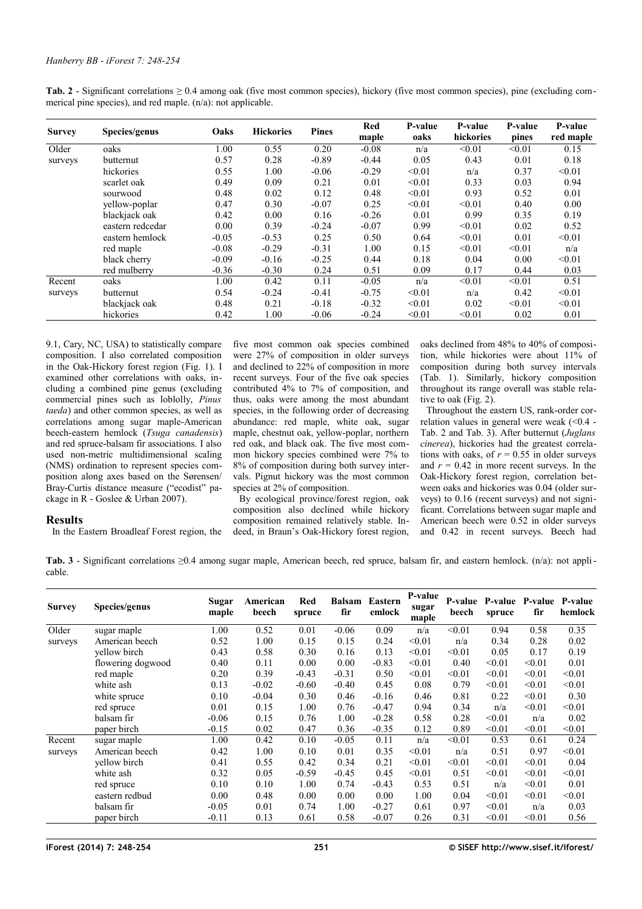<span id="page-3-1"></span>

| Tab. 2 - Significant correlations $\geq 0.4$ among oak (five most common species), hickory (five most common species), pine (excluding com- |  |  |
|---------------------------------------------------------------------------------------------------------------------------------------------|--|--|
| merical pine species), and red maple. $(n/a)$ : not applicable.                                                                             |  |  |

| <b>Survey</b> | Species/genus    | Oaks    | <b>Hickories</b> | <b>Pines</b> | Red<br>maple | <b>P-value</b><br>oaks | P-value<br>hickories | P-value<br>pines | P-value<br>red maple |
|---------------|------------------|---------|------------------|--------------|--------------|------------------------|----------------------|------------------|----------------------|
| Older         | oaks             | 1.00    | 0.55             | 0.20         | $-0.08$      | n/a                    | < 0.01               | < 0.01           | 0.15                 |
| surveys       | butternut        | 0.57    | 0.28             | $-0.89$      | $-0.44$      | 0.05                   | 0.43                 | 0.01             | 0.18                 |
|               | hickories        | 0.55    | 1.00             | $-0.06$      | $-0.29$      | < 0.01                 | n/a                  | 0.37             | < 0.01               |
|               | scarlet oak      | 0.49    | 0.09             | 0.21         | 0.01         | < 0.01                 | 0.33                 | 0.03             | 0.94                 |
|               | sourwood         | 0.48    | 0.02             | 0.12         | 0.48         | < 0.01                 | 0.93                 | 0.52             | 0.01                 |
|               | yellow-poplar    | 0.47    | 0.30             | $-0.07$      | 0.25         | < 0.01                 | < 0.01               | 0.40             | 0.00                 |
|               | blackjack oak    | 0.42    | 0.00             | 0.16         | $-0.26$      | 0.01                   | 0.99                 | 0.35             | 0.19                 |
|               | eastern redcedar | 0.00    | 0.39             | $-0.24$      | $-0.07$      | 0.99                   | < 0.01               | 0.02             | 0.52                 |
|               | eastern hemlock  | $-0.05$ | $-0.53$          | 0.25         | 0.50         | 0.64                   | < 0.01               | 0.01             | < 0.01               |
|               | red maple        | $-0.08$ | $-0.29$          | $-0.31$      | 1.00         | 0.15                   | < 0.01               | < 0.01           | n/a                  |
|               | black cherry     | $-0.09$ | $-0.16$          | $-0.25$      | 0.44         | 0.18                   | 0.04                 | 0.00             | < 0.01               |
|               | red mulberry     | $-0.36$ | $-0.30$          | 0.24         | 0.51         | 0.09                   | 0.17                 | 0.44             | 0.03                 |
| Recent        | oaks             | 1.00    | 0.42             | 0.11         | $-0.05$      | n/a                    | < 0.01               | < 0.01           | 0.51                 |
| surveys       | butternut        | 0.54    | $-0.24$          | $-0.41$      | $-0.75$      | < 0.01                 | n/a                  | 0.42             | < 0.01               |
|               | blackjack oak    | 0.48    | 0.21             | $-0.18$      | $-0.32$      | < 0.01                 | 0.02                 | < 0.01           | < 0.01               |
|               | hickories        | 0.42    | 1.00             | $-0.06$      | $-0.24$      | < 0.01                 | < 0.01               | 0.02             | 0.01                 |

9.1, Cary, NC, USA) to statistically compare composition. I also correlated composition in the Oak-Hickory forest region [\(Fig. 1\)](#page-1-0). I examined other correlations with oaks, including a combined pine genus (excluding commercial pines such as loblolly, *Pinus taeda*) and other common species, as well as correlations among sugar maple-American beech-eastern hemlock (*Tsuga canadensis*) and red spruce-balsam fir associations. I also used non-metric multidimensional scaling (NMS) ordination to represent species composition along axes based on the Sørensen/ Bray-Curtis distance measure ("ecodist" package in R - Goslee & Urban 2007).

## **Results**

In the Eastern Broadleaf Forest region, the

five most common oak species combined were 27% of composition in older surveys and declined to 22% of composition in more recent surveys. Four of the five oak species contributed 4% to 7% of composition, and thus, oaks were among the most abundant species, in the following order of decreasing abundance: red maple, white oak, sugar maple, chestnut oak, yellow-poplar, northern red oak, and black oak. The five most common hickory species combined were 7% to 8% of composition during both survey intervals. Pignut hickory was the most common species at 2% of composition.

By ecological province/forest region, oak composition also declined while hickory composition remained relatively stable. Indeed, in Braun's Oak-Hickory forest region, oaks declined from 48% to 40% of composition, while hickories were about  $11\%$  of composition during both survey intervals [\(Tab. 1\)](#page-2-0). Similarly, hickory composition throughout its range overall was stable relative to oak [\(Fig. 2\)](#page-1-1).

Throughout the eastern US, rank-order correlation values in general were weak  $( $0.4$  -$ [Tab. 2](#page-3-1) and [Tab. 3\)](#page-3-0). After butternut (*Juglans cinerea*), hickories had the greatest correlations with oaks, of  $r = 0.55$  in older surveys and  $r = 0.42$  in more recent surveys. In the Oak-Hickory forest region, correlation between oaks and hickories was 0.04 (older surveys) to 0.16 (recent surveys) and not significant. Correlations between sugar maple and American beech were 0.52 in older surveys and 0.42 in recent surveys. Beech had

<span id="page-3-0"></span>**Tab. 3** - Significant correlations ≥0.4 among sugar maple, American beech, red spruce, balsam fir, and eastern hemlock. (n/a): not applicable.

| <b>Survey</b>     | Species/genus     | Sugar<br>maple | American<br>beech | Red<br>spruce | Balsam<br>fir | Eastern<br>emlock | P-value<br>sugar<br>maple | <b>P-value</b><br>beech | <b>P-value</b><br>spruce | fir    | P-value P-value<br>hemlock |
|-------------------|-------------------|----------------|-------------------|---------------|---------------|-------------------|---------------------------|-------------------------|--------------------------|--------|----------------------------|
| Older             | sugar maple       | 1.00           | 0.52              | 0.01          | $-0.06$       | 0.09              | n/a                       | < 0.01                  | 0.94                     | 0.58   | 0.35                       |
| surveys           | American beech    | 0.52           | 1.00              | 0.15          | 0.15          | 0.24              | < 0.01                    | n/a                     | 0.34                     | 0.28   | 0.02                       |
|                   | yellow birch      | 0.43           | 0.58              | 0.30          | 0.16          | 0.13              | < 0.01                    | < 0.01                  | 0.05                     | 0.17   | 0.19                       |
|                   | flowering dogwood | 0.40           | 0.11              | 0.00          | 0.00          | $-0.83$           | < 0.01                    | 0.40                    | < 0.01                   | < 0.01 | 0.01                       |
|                   | red maple         | 0.20           | 0.39              | $-0.43$       | $-0.31$       | 0.50              | < 0.01                    | < 0.01                  | < 0.01                   | < 0.01 | < 0.01                     |
|                   | white ash         | 0.13           | $-0.02$           | $-0.60$       | $-0.40$       | 0.45              | 0.08                      | 0.79                    | < 0.01                   | < 0.01 | < 0.01                     |
|                   | white spruce      | 0.10           | $-0.04$           | 0.30          | 0.46          | $-0.16$           | 0.46                      | 0.81                    | 0.22                     | < 0.01 | 0.30                       |
|                   | red spruce        | 0.01           | 0.15              | 1.00          | 0.76          | $-0.47$           | 0.94                      | 0.34                    | n/a                      | < 0.01 | < 0.01                     |
|                   | balsam fir        | $-0.06$        | 0.15              | 0.76          | 1.00          | $-0.28$           | 0.58                      | 0.28                    | < 0.01                   | n/a    | 0.02                       |
|                   | paper birch       | $-0.15$        | 0.02              | 0.47          | 0.36          | $-0.35$           | 0.12                      | 0.89                    | < 0.01                   | < 0.01 | < 0.01                     |
| Recent<br>surveys | sugar maple       | 1.00           | 0.42              | 0.10          | $-0.05$       | 0.11              | n/a                       | < 0.01                  | 0.53                     | 0.61   | 0.24                       |
|                   | American beech    | 0.42           | 1.00              | 0.10          | 0.01          | 0.35              | < 0.01                    | n/a                     | 0.51                     | 0.97   | < 0.01                     |
|                   | yellow birch      | 0.41           | 0.55              | 0.42          | 0.34          | 0.21              | < 0.01                    | < 0.01                  | < 0.01                   | < 0.01 | 0.04                       |
|                   | white ash         | 0.32           | 0.05              | $-0.59$       | $-0.45$       | 0.45              | < 0.01                    | 0.51                    | < 0.01                   | < 0.01 | < 0.01                     |
|                   | red spruce        | 0.10           | 0.10              | 1.00          | 0.74          | $-0.43$           | 0.53                      | 0.51                    | n/a                      | < 0.01 | 0.01                       |
|                   | eastern redbud    | 0.00           | 0.48              | 0.00          | 0.00          | 0.00              | 1.00                      | 0.04                    | < 0.01                   | < 0.01 | < 0.01                     |
|                   | balsam fir        | $-0.05$        | 0.01              | 0.74          | 1.00          | $-0.27$           | 0.61                      | 0.97                    | < 0.01                   | n/a    | 0.03                       |
|                   | paper birch       | $-0.11$        | 0.13              | 0.61          | 0.58          | $-0.07$           | 0.26                      | 0.31                    | < 0.01                   | < 0.01 | 0.56                       |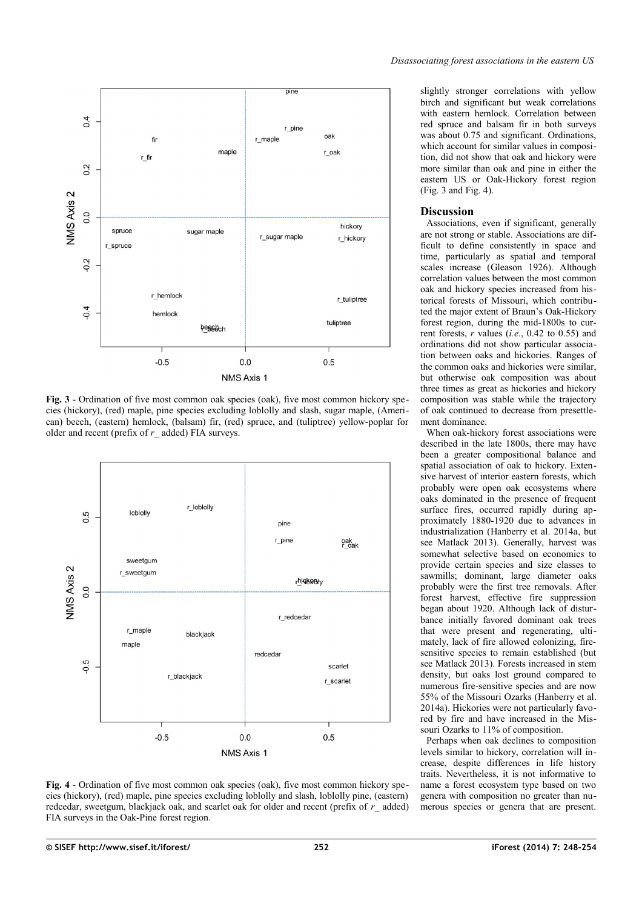

<span id="page-4-1"></span>**Fig. 3** - Ordination of five most common oak species (oak), five most common hickory species (hickory), (red) maple, pine species excluding loblolly and slash, sugar maple, (American) beech, (eastern) hemlock, (balsam) fir, (red) spruce, and (tuliptree) yellow-poplar for older and recent (prefix of *r\_* added) FIA surveys.



<span id="page-4-0"></span>**Fig. 4** - Ordination of five most common oak species (oak), five most common hickory species (hickory), (red) maple, pine species excluding loblolly and slash, loblolly pine, (eastern) redcedar, sweetgum, blackjack oak, and scarlet oak for older and recent (prefix of *r\_* added) FIA surveys in the Oak-Pine forest region.

slightly stronger correlations with yellow birch and significant but weak correlations with eastern hemlock. Correlation between red spruce and balsam fir in both surveys was about 0.75 and significant. Ordinations, which account for similar values in composition, did not show that oak and hickory were more similar than oak and pine in either the eastern US or Oak-Hickory forest region [\(Fig. 3](#page-4-1) and [Fig. 4\)](#page-4-0).

#### **Discussion**

Associations, even if significant, generally are not strong or stable. Associations are difficult to define consistently in space and time, particularly as spatial and temporal scales increase (Gleason 1926). Although correlation values between the most common oak and hickory species increased from historical forests of Missouri, which contributed the major extent of Braun's Oak-Hickory forest region, during the mid-1800s to current forests, *r* values (*i.e.*, 0.42 to 0.55) and ordinations did not show particular association between oaks and hickories. Ranges of the common oaks and hickories were similar, but otherwise oak composition was about three times as great as hickories and hickory composition was stable while the trajectory of oak continued to decrease from presettlement dominance.

When oak-hickory forest associations were described in the late 1800s, there may have been a greater compositional balance and spatial association of oak to hickory. Extensive harvest of interior eastern forests, which probably were open oak ecosystems where oaks dominated in the presence of frequent surface fires, occurred rapidly during approximately 1880-1920 due to advances in industrialization (Hanberry et al. 2014a, but see Matlack 2013). Generally, harvest was somewhat selective based on economics to provide certain species and size classes to sawmills: dominant, large diameter oaks probably were the first tree removals. After forest harvest, effective fire suppression began about 1920. Although lack of disturbance initially favored dominant oak trees that were present and regenerating, ultimately, lack of fire allowed colonizing, firesensitive species to remain established (but see Matlack 2013). Forests increased in stem density, but oaks lost ground compared to numerous fire-sensitive species and are now 55% of the Missouri Ozarks (Hanberry et al. 2014a). Hickories were not particularly favored by fire and have increased in the Missouri Ozarks to 11% of composition.

Perhaps when oak declines to composition levels similar to hickory, correlation will increase, despite differences in life history traits. Nevertheless, it is not informative to name a forest ecosystem type based on two genera with composition no greater than numerous species or genera that are present.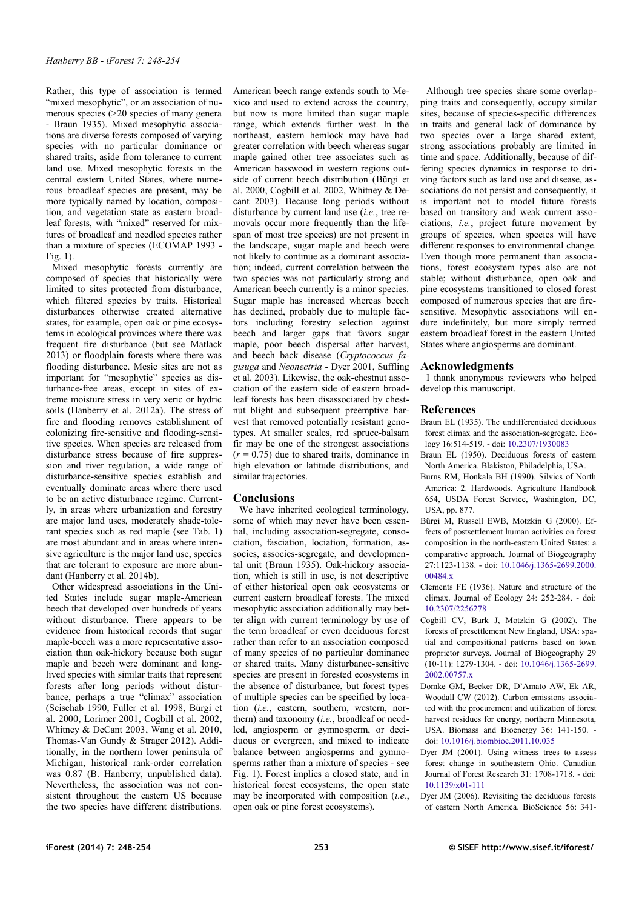Rather, this type of association is termed "mixed mesophytic", or an association of numerous species (>20 species of many genera - Braun 1935). Mixed mesophytic associations are diverse forests composed of varying species with no particular dominance or shared traits, aside from tolerance to current land use. Mixed mesophytic forests in the central eastern United States, where numerous broadleaf species are present, may be more typically named by location, composition, and vegetation state as eastern broadleaf forests, with "mixed" reserved for mixtures of broadleaf and needled species rather than a mixture of species (ECOMAP 1993 -  $Fi\sigma$  1).

Mixed mesophytic forests currently are composed of species that historically were limited to sites protected from disturbance, which filtered species by traits. Historical disturbances otherwise created alternative states, for example, open oak or pine ecosystems in ecological provinces where there was frequent fire disturbance (but see Matlack 2013) or floodplain forests where there was flooding disturbance. Mesic sites are not as important for "mesophytic" species as disturbance-free areas, except in sites of extreme moisture stress in very xeric or hydric soils (Hanberry et al. 2012a). The stress of fire and flooding removes establishment of colonizing fire-sensitive and flooding-sensitive species. When species are released from disturbance stress because of fire suppression and river regulation, a wide range of disturbance-sensitive species establish and eventually dominate areas where there used to be an active disturbance regime. Currently, in areas where urbanization and forestry are major land uses, moderately shade-tolerant species such as red maple (see [Tab. 1\)](#page-2-0) are most abundant and in areas where intensive agriculture is the major land use, species that are tolerant to exposure are more abundant (Hanberry et al. 2014b).

Other widespread associations in the United States include sugar maple-American beech that developed over hundreds of years without disturbance. There appears to be evidence from historical records that sugar maple-beech was a more representative association than oak-hickory because both sugar maple and beech were dominant and longlived species with similar traits that represent forests after long periods without disturbance, perhaps a true "climax" association (Seischab 1990, Fuller et al. 1998, Bürgi et al. 2000, Lorimer 2001, Cogbill et al. 2002, Whitney & DeCant 2003, Wang et al. 2010, Thomas-Van Gundy & Strager 2012). Additionally, in the northern lower peninsula of Michigan, historical rank-order correlation was 0.87 (B. Hanberry, unpublished data). Nevertheless, the association was not consistent throughout the eastern US because the two species have different distributions.

American beech range extends south to Mexico and used to extend across the country, but now is more limited than sugar maple range, which extends further west. In the northeast, eastern hemlock may have had greater correlation with beech whereas sugar maple gained other tree associates such as American basswood in western regions outside of current beech distribution (Bürgi et al. 2000, Cogbill et al. 2002, Whitney & Decant 2003). Because long periods without disturbance by current land use (*i.e.*, tree removals occur more frequently than the lifespan of most tree species) are not present in the landscape, sugar maple and beech were not likely to continue as a dominant association; indeed, current correlation between the two species was not particularly strong and American beech currently is a minor species. Sugar maple has increased whereas beech has declined, probably due to multiple factors including forestry selection against beech and larger gaps that favors sugar maple, poor beech dispersal after harvest, and beech back disease (*Cryptococcus fagisuga* and *Neonectria* - Dyer 2001, Suffling et al. 2003). Likewise, the oak-chestnut association of the eastern side of eastern broadleaf forests has been disassociated by chestnut blight and subsequent preemptive harvest that removed potentially resistant genotypes. At smaller scales, red spruce-balsam fir may be one of the strongest associations  $(r = 0.75)$  due to shared traits, dominance in high elevation or latitude distributions, and similar trajectories.

## **Conclusions**

We have inherited ecological terminology, some of which may never have been essential, including association-segregate, consociation, fasciation, lociation, formation, associes, associes-segregate, and developmental unit (Braun 1935). Oak-hickory association, which is still in use, is not descriptive of either historical open oak ecosystems or current eastern broadleaf forests. The mixed mesophytic association additionally may better align with current terminology by use of the term broadleaf or even deciduous forest rather than refer to an association composed of many species of no particular dominance or shared traits. Many disturbance-sensitive species are present in forested ecosystems in the absence of disturbance, but forest types of multiple species can be specified by location (*i.e.*, eastern, southern, western, northern) and taxonomy (*i.e.*, broadleaf or needled, angiosperm or gymnosperm, or deciduous or evergreen, and mixed to indicate balance between angiosperms and gymnosperms rather than a mixture of species - see [Fig. 1\)](#page-1-0). Forest implies a closed state, and in historical forest ecosystems, the open state may be incorporated with composition (*i.e.*, open oak or pine forest ecosystems).

Although tree species share some overlapping traits and consequently, occupy similar sites, because of species-specific differences in traits and general lack of dominance by two species over a large shared extent, strong associations probably are limited in time and space. Additionally, because of differing species dynamics in response to driving factors such as land use and disease, associations do not persist and consequently, it is important not to model future forests based on transitory and weak current associations, *i.e.*, project future movement by groups of species, when species will have different responses to environmental change. Even though more permanent than associations, forest ecosystem types also are not stable; without disturbance, open oak and pine ecosystems transitioned to closed forest composed of numerous species that are firesensitive. Mesophytic associations will endure indefinitely, but more simply termed eastern broadleaf forest in the eastern United States where angiosperms are dominant.

## **Acknowledgments**

I thank anonymous reviewers who helped develop this manuscript.

# **References**

- Braun EL (1935). The undifferentiated deciduous forest climax and the association-segregate. Ecology 16:514-519. - doi: [10.2307/1930083](http://dx.doi.org/10.2307/1930083)
- Braun EL (1950). Deciduous forests of eastern North America. Blakiston, Philadelphia, USA.
- Burns RM, Honkala BH (1990). Silvics of North America: 2. Hardwoods. Agriculture Handbook 654, USDA Forest Service, Washington, DC, USA, pp. 877.
- Bürgi M, Russell EWB, Motzkin G (2000). Effects of postsettlement human activities on forest composition in the north-eastern United States: a comparative approach. Journal of Biogeography 27:1123-1138. - doi: [10.1046/j.1365-2699.2000.](http://dx.doi.org/10.1046/j.1365-2699.2000.00484.x) 00484 x
- Clements FE (1936). Nature and structure of the climax. Journal of Ecology 24: 252-284. - doi: [10.2307/2256278](http://dx.doi.org/10.2307/2256278)
- Cogbill CV, Burk J, Motzkin G (2002). The forests of presettlement New England, USA: spatial and compositional patterns based on town proprietor surveys. Journal of Biogeography 29 (10-11): 1279-1304. - doi: [10.1046/j.1365-2699.](http://dx.doi.org/10.1046/j.1365-2699.2002.00757.x) [2002.00757.x](http://dx.doi.org/10.1046/j.1365-2699.2002.00757.x)
- Domke GM, Becker DR, D'Amato AW, Ek AR, Woodall CW (2012). Carbon emissions associated with the procurement and utilization of forest harvest residues for energy, northern Minnesota, USA. Biomass and Bioenergy 36: 141-150. doi: [10.1016/j.biombioe.2011.10.035](http://dx.doi.org/10.1016/j.biombioe.2011.10.035)
- Dyer JM (2001). Using witness trees to assess forest change in southeastern Ohio. Canadian Journal of Forest Research 31: 1708-1718. - doi: [10.1139/x01-111](http://dx.doi.org/10.1139/x01-111)
- Dyer JM (2006). Revisiting the deciduous forests of eastern North America. BioScience 56: 341-